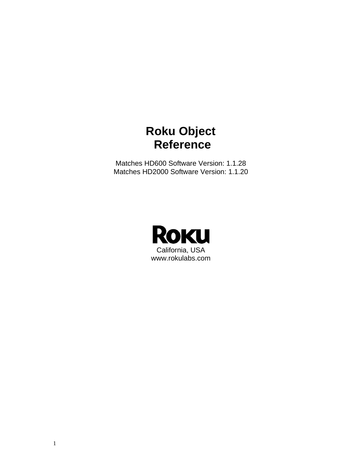# **Roku Object Reference**

Matches HD600 Software Version: 1.1.28 Matches HD2000 Software Version: 1.1.20

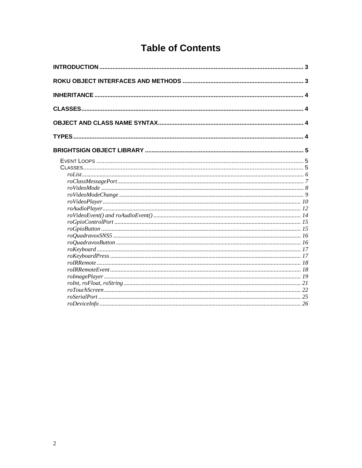# **Table of Contents**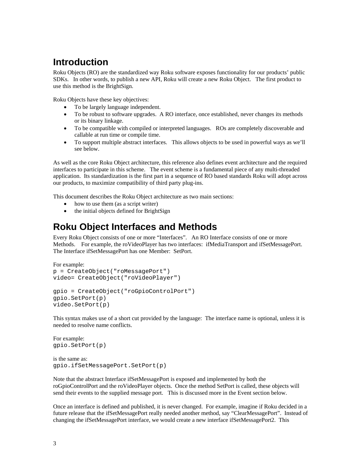# **Introduction**

Roku Objects (RO) are the standardized way Roku software exposes functionality for our products' public SDKs. In other words, to publish a new API, Roku will create a new Roku Object. The first product to use this method is the BrightSign.

Roku Objects have these key objectives:

- To be largely language independent.
- To be robust to software upgrades. A RO interface, once established, never changes its methods or its binary linkage.
- To be compatible with compiled or interpreted languages. ROs are completely discoverable and callable at run time or compile time.
- To support multiple abstract interfaces. This allows objects to be used in powerful ways as we'll see below.

As well as the core Roku Object architecture, this reference also defines event architecture and the required interfaces to participate in this scheme. The event scheme is a fundamental piece of any multi-threaded application. Its standardization is the first part in a sequence of RO based standards Roku will adopt across our products, to maximize compatibility of third party plug-ins.

This document describes the Roku Object architecture as two main sections:

- how to use them (as a script writer)
- the initial objects defined for BrightSign

# **Roku Object Interfaces and Methods**

Every Roku Object consists of one or more "Interfaces". An RO Interface consists of one or more Methods. For example, the roVideoPlayer has two interfaces: ifMediaTransport and ifSetMessagePort. The Interface ifSetMessagePort has one Member: SetPort.

```
For example: 
p = CreateObject("roMessagePort") 
video= CreateObject("roVideoPlayer") 
gpio = CreateObject("roGpioControlPort") 
gpio.SetPort(p)
```
This syntax makes use of a short cut provided by the language: The interface name is optional, unless it is needed to resolve name conflicts.

```
For example: 
gpio.SetPort(p)
```
video.SetPort(p)

```
is the same as: 
gpio.ifSetMessagePort.SetPort(p)
```
Note that the abstract Interface ifSetMessagePort is exposed and implemented by both the roGpioControlPort and the roVideoPlayer objects. Once the method SetPort is called, these objects will send their events to the supplied message port. This is discussed more in the Event section below.

Once an interface is defined and published, it is never changed. For example, imagine if Roku decided in a future release that the ifSetMessagePort really needed another method, say "ClearMessagePort". Instead of changing the ifSetMessagePort interface, we would create a new interface ifSetMessagePort2. This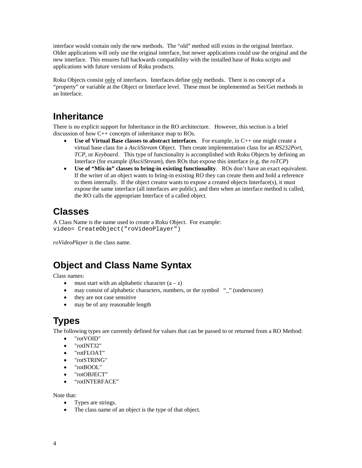interface would contain only the new methods. The "old" method still exists in the original Interface. Older applications will only use the original interface, but newer applications could use the original and the new interface. This ensures full backwards compatibility with the installed base of Roku scripts and applications with future versions of Roku products.

Roku Objects consist only of interfaces. Interfaces define only methods. There is no concept of a "property" or variable at the Object or Interface level. These must be implemented as Set/Get methods in an Interface.

# **Inheritance**

There is no explicit support for Inheritance in the RO architecture. However, this section is a brief discussion of how C++ concepts of inheritance map to ROs.

- **Use of Virtual Base classes to abstract interfaces**. For example, in C++ one might create a virtual base class for a *AsciiStream* Object. Then create implementation class for an *RS232Port*, *TCP*, or *Keyboard*. This type of functionality is accomplished with Roku Objects by defining an Interface (for example *ifAsciiStream*), then ROs that expose this interface (e.g. the *roTCP*)
- **Use of "Mix-in" classes to bring-in existing functionality**. ROs don't have an exact equivalent. If the writer of an object wants to bring-in existing RO they can create them and hold a reference to them internally. If the object creator wants to expose a created objects Interface(s), it must expose the same interface (all interfaces are public), and then when an interface method is called, the RO calls the appropriate Interface of a called object.

# **Classes**

A Class Name is the name used to create a Roku Object. For example: video= CreateObject("roVideoPlayer")

*roVideoPlayer* is the class name.

# **Object and Class Name Syntax**

Class names:

- must start with an alphabetic character  $(a z)$
- may consist of alphabetic characters, numbers, or the symbol " " (underscore)
- they are not case sensitive
- may be of any reasonable length

# **Types**

The following types are currently defined for values that can be passed to or returned from a RO Method:

- "rotVOID"
- "rotINT32"
- "rotFLOAT"
- "rotSTRING"
- "rotBOOL"
- "rotOBJECT"
- "rotINTERFACE"

Note that:

- Types are strings.
- The class name of an object is the type of that object.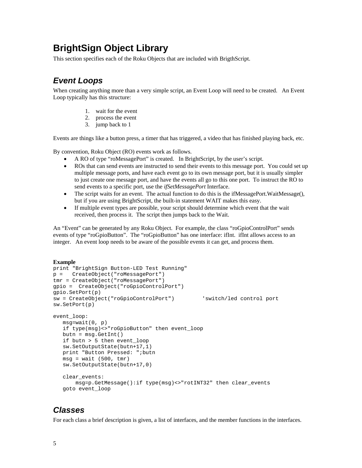# **BrightSign Object Library**

This section specifies each of the Roku Objects that are included with BrigthScript.

## *Event Loops*

When creating anything more than a very simple script, an Event Loop will need to be created. An Event Loop typically has this structure:

- 1. wait for the event
- 2. process the event
- 3. jump back to 1

Events are things like a button press, a timer that has triggered, a video that has finished playing back, etc.

By convention, Roku Object (RO) events work as follows.

- A RO of type "roMessagePort" is created. In BrightScript, by the user's script.
- ROs that can send events are instructed to send their events to this message port. You could set up multiple message ports, and have each event go to its own message port, but it is usually simpler to just create one message port, and have the events all go to this one port. To instruct the RO to send events to a specific port, use the *ifSetMessagePort* Interface.
- The script waits for an event. The actual function to do this is the ifMessagePort.WaitMessage $(0, 1)$ but if you are using BrightScript, the built-in statement WAIT makes this easy.
- If multiple event types are possible, your script should determine which event that the wait received, then process it. The script then jumps back to the Wait.

An "Event" can be generated by any Roku Object. For example, the class "roGpioControlPort" sends events of type "roGpioButton". The "roGpioButton" has one interface: ifInt. ifInt allows access to an integer. An event loop needs to be aware of the possible events it can get, and process them.

#### **Example**

```
print "BrightSign Button-LED Test Running" 
p = CreateObject("roMessagePort") 
tmr = CreateObject("roMessagePort") 
gpio = CreateObject("roGpioControlPort") 
gpio.SetPort(p) 
sw = CreateObject("roGpioControlPort") 'switch/led control port 
sw.SetPort(p) 
event_loop: 
   msg=wait(0, p) 
    if type(msg)<>"roGpioButton" then event_loop 
   butn = msg.GetInt() 
    if butn > 5 then event_loop 
    sw.SetOutputState(butn+17,1) 
   print "Button Pressed: ";butn 
  msg = wait (500, tmr) sw.SetOutputState(butn+17,0) 
    clear_events: 
        msg=p.GetMessage():if type(msg)<>"rotINT32" then clear_events 
    goto event_loop
```
## *Classes*

For each class a brief description is given, a list of interfaces, and the member functions in the interfaces.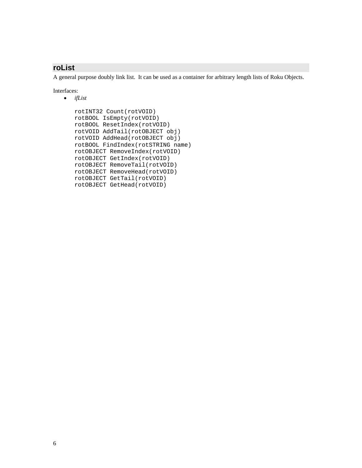## **roList**

A general purpose doubly link list. It can be used as a container for arbitrary length lists of Roku Objects.

Interfaces:

• *ifList* 

```
 rotINT32 Count(rotVOID) 
 rotBOOL IsEmpty(rotVOID) 
 rotBOOL ResetIndex(rotVOID) 
 rotVOID AddTail(rotOBJECT obj) 
 rotVOID AddHead(rotOBJECT obj) 
 rotBOOL FindIndex(rotSTRING name) 
 rotOBJECT RemoveIndex(rotVOID) 
 rotOBJECT GetIndex(rotVOID) 
 rotOBJECT RemoveTail(rotVOID) 
 rotOBJECT RemoveHead(rotVOID) 
 rotOBJECT GetTail(rotVOID) 
 rotOBJECT GetHead(rotVOID)
```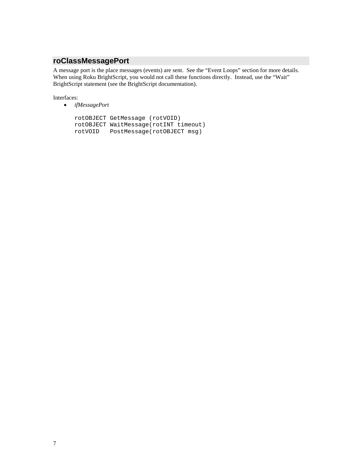## **roClassMessagePort**

A message port is the place messages (events) are sent. See the "Event Loops" section for more details. When using Roku BrightScript, you would not call these functions directly. Instead, use the "Wait" BrightScript statement (see the BrightScript documentation).

Interfaces:

• *ifMessagePort* 

```
 rotOBJECT GetMessage (rotVOID) 
 rotOBJECT WaitMessage(rotINT timeout) 
 rotVOID PostMessage(rotOBJECT msg)
```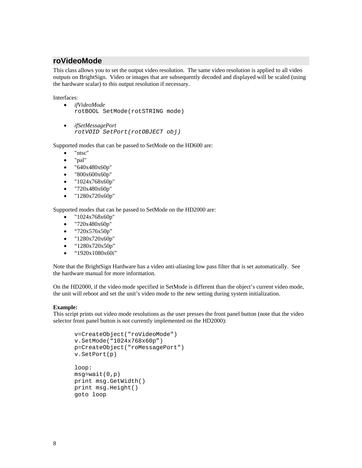### **roVideoMode**

This class allows you to set the output video resolution. The same video resolution is applied to all video outputs on BrightSign. Video or images that are subsequently decoded and displayed will be scaled (using the hardware scalar) to this output resolution if necessary.

Interfaces:

- *ifVideoMode*  rotBOOL SetMode(rotSTRING mode)
- *ifSetMessagePort rotVOID SetPort(rotOBJECT obj)*

Supported modes that can be passed to SetMode on the HD600 are:

- "ntsc"
- "pal"
- "640x480x60p"
- "800x600x60p"
- "1024x768x60p"
- "720x480x60p"
- "1280x720x60p"

Supported modes that can be passed to SetMode on the HD2000 are:

- "1024x768x60p"
- "720x480x60p"
- "720x576x50p"
- "1280x720x60p"
- "1280x720x50p"
- $\bullet$  "1920x1080x60i"

Note that the BrightSign Hardware has a video anti-aliasing low pass filter that is set automatically. See the hardware manual for more information.

On the HD2000, if the video mode specified in SetMode is different than the object's current video mode, the unit will reboot and set the unit's video mode to the new setting during system initialization.

#### **Example:**

This script prints out video mode resolutions as the user presses the front panel button (note that the video selector front panel button is not currently implemented on the HD2000):

```
v=CreateObject("roVideoMode") 
v.SetMode("1024x768x60p") 
p=CreateObject("roMessagePort") 
v.SetPort(p) 
loop: 
msg=wait(0,p) 
print msg.GetWidth() 
print msg.Height() 
goto loop
```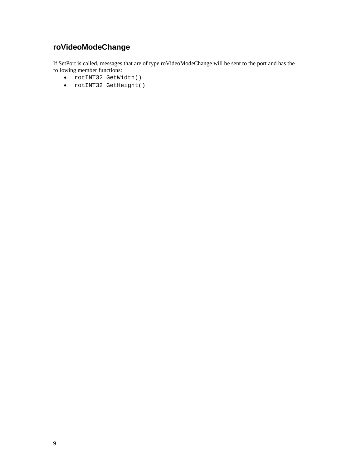# **roVideoModeChange**

If SetPort is called, messages that are of type roVideoModeChange will be sent to the port and has the following member functions:

- rotINT32 GetWidth()
- rotINT32 GetHeight()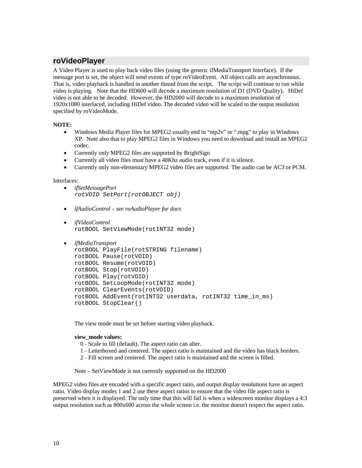### **roVideoPlayer**

A Video Player is used to play back video files (using the generic ifMediaTransport Interface). If the message port is set, the object will send events of type roVideoEvent. All object calls are asynchronous. That is, video playback is handled in another thread from the script. The script will continue to run while video is playing. Note that the HD600 will decode a maximum resolution of D1 (DVD Quality). HiDef video is not able to be decoded. However, the HD2000 will decode to a maximum resolution of 1920x1080 interlaced, including HiDef video. The decoded video will be scaled to the output resolution specified by roVideoMode.

#### **NOTE:**

- Windows Media Player files for MPEG2 usually end in "mp2v" or ".mpg" to play in Windows XP. Note also that to play MPEG2 files in Windows you need to download and install an MPEG2 codec.
- Currently only MPEG2 files are supported by BrightSign
- Currently all video files must have a 48Khz audio track, even if it is silence.
- Currently only non-elementary MPEG2 video files are supported. The audio can be AC3 or PCM.

#### Interfaces:

- *ifSetMessagePort rotVOID SetPort(rotOBJECT obj)*
- *ifAudioControl see roAudioPlayer for docs*
- *ifVideoControl*  rotBOOL SetViewMode(rotINT32 mode)
- *ifMediaTransport*

```
 rotBOOL PlayFile(rotSTRING filename) 
 rotBOOL Pause(rotVOID) 
 rotBOOL Resume(rotVOID) 
 rotBOOL Stop(rotVOID) 
 rotBOOL Play(rotVOID) 
 rotBOOL SetLoopMode(rotINT32 mode) 
rotBOOL ClearEvents(rotVOID) 
rotBOOL AddEvent(rotINT32 userdata, rotINT32 time_in_ms) 
rotBOOL StopClear()
```
The view mode must be set before starting video playback.

#### **view\_mode values:**

- 0 Scale to fill (default). The aspect ratio can alter.
- 1 Letterboxed and centered. The aspect ratio is maintained and the video has black borders.
- 2 Fill screen and centered. The aspect ratio is maintained and the screen is filled.

Note – SetViewMode is not currently supported on the HD2000

MPEG2 video files are encoded with a specific aspect ratio, and output display resolutions have an aspect ratio. Video display modes 1 and 2 use these aspect ratios to ensure that the video file aspect ratio is preserved when it is displayed. The only time that this will fail is when a widescreen monitor displays a 4:3 output resolution such as 800x600 across the whole screen i.e. the monitor doesn't respect the aspect ratio.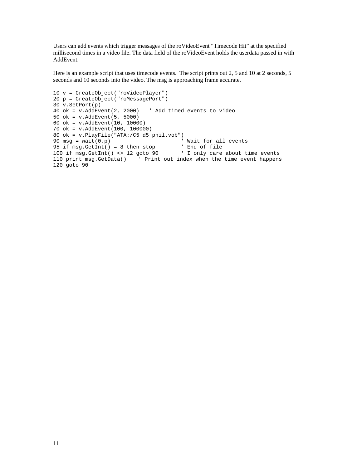Users can add events which trigger messages of the roVideoEvent "Timecode Hit" at the specified millisecond times in a video file. The data field of the roVideoEvent holds the userdata passed in with AddEvent.

Here is an example script that uses timecode events. The script prints out 2, 5 and 10 at 2 seconds, 5 seconds and 10 seconds into the video. The msg is approaching frame accurate.

```
10 v = CreateObject("roVideoPlayer") 
20 p = CreateObject("roMessagePort") 
30 v.SetPort(p) 
40 ok = v.AddEvent(2, 2000) ' Add timed events to video 
50 ok = v.AddEvent(5, 5000) 
60 ok = v.AddEvent(10, 10000) 
70 ok = v.AddEvent(100, 100000) 
80 ok = v.PlayFile("ATA:/C5_d5_phil.vob")<br>90 msg = wait(0,p)
                                           % Wait for all events<br>' End of file
95 if msg.GetInt() = 8 then stop100 if msg.GetInt() <> 12 goto 90 ' I only care about time events 
110 print msg.GetData() ' Print out index when the time event happens 
120 goto 90
```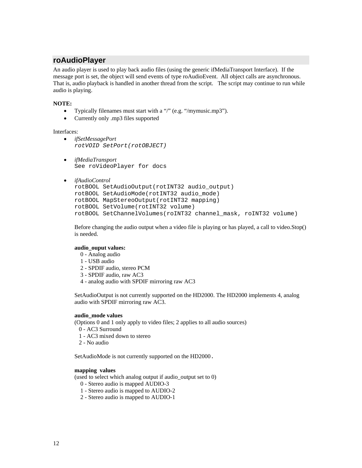### **roAudioPlayer**

An audio player is used to play back audio files (using the generic ifMediaTransport Interface). If the message port is set, the object will send events of type roAudioEvent. All object calls are asynchronous. That is, audio playback is handled in another thread from the script. The script may continue to run while audio is playing.

#### **NOTE:**

- Typically filenames must start with a "/" (e.g. "/mymusic.mp3").
- Currently only .mp3 files supported

Interfaces:

- *ifSetMessagePort rotVOID SetPort(rotOBJECT)*
- *ifMediaTransport*  See roVideoPlayer for docs
- *ifAudioControl*

```
rotBOOL SetAudioOutput(rotINT32 audio_output) 
rotBOOL SetAudioMode(rotINT32 audio_mode) 
rotBOOL MapStereoOutput(rotINT32 mapping) 
rotBOOL SetVolume(rotINT32 volume) 
rotBOOL SetChannelVolumes(roINT32 channel_mask, roINT32 volume)
```
Before changing the audio output when a video file is playing or has played, a call to video.Stop() is needed.

#### **audio\_ouput values:**

- 0 Analog audio
- 1 USB audio
- 2 SPDIF audio, stereo PCM
- 3 SPDIF audio, raw AC3
- 4 analog audio with SPDIF mirroring raw AC3

SetAudioOutput is not currently supported on the HD2000. The HD2000 implements 4, analog audio with SPDIF mirroring raw AC3.

#### **audio\_mode values**

(Options 0 and 1 only apply to video files; 2 applies to all audio sources)

- 0 AC3 Surround
- 1 AC3 mixed down to stereo
- 2 No audio

SetAudioMode is not currently supported on the HD2000.

### **mapping values**

(used to select which analog output if audio\_output set to 0)

- 0 Stereo audio is mapped AUDIO-3
- 1 Stereo audio is mapped to AUDIO-2
- 2 Stereo audio is mapped to AUDIO-1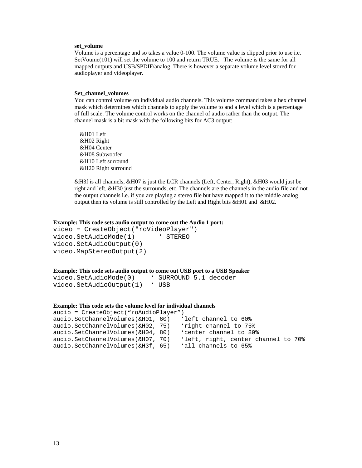#### **set\_volume**

Volume is a percentage and so takes a value 0-100. The volume value is clipped prior to use i.e. SetVoume(101) will set the volume to 100 and return TRUE. The volume is the same for all mapped outputs and USB/SPDIF/analog. There is however a separate volume level stored for audioplayer and videoplayer.

#### **Set\_channel\_volumes**

You can control volume on individual audio channels. This volume command takes a hex channel mask which determines which channels to apply the volume to and a level which is a percentage of full scale. The volume control works on the channel of audio rather than the output. The channel mask is a bit mask with the following bits for AC3 output:

&H01 Left &H02 Right &H04 Center &H08 Subwoofer &H10 Left surround &H20 Right surround

&H3f is all channels, &H07 is just the LCR channels (Left, Center, Right), &H03 would just be right and left, &H30 just the surrounds, etc. The channels are the channels in the audio file and not the output channels i.e. if you are playing a stereo file but have mapped it to the middle analog output then its volume is still controlled by the Left and Right bits &H01 and &H02.

#### **Example: This code sets audio output to come out the Audio 1 port:**

```
video = CreateObject("roVideoPlayer") 
video.SetAudioMode(1) ' STEREO
video.SetAudioOutput(0) 
video.MapStereoOutput(2)
```
#### **Example: This code sets audio output to come out USB port to a USB Speaker**

```
video.SetAudioMode(0) ' SURROUND 5.1 decoder 
video.SetAudioOutput(1) ' USB
```
#### **Example: This code sets the volume level for individual channels**

```
audio = CreateObject("roAudioPlayer") 
audio.SetChannelVolumes(&H01, 60)
audio.SetChannelVolumes(&H02, 75) 'right channel to 75% 
audio.SetChannelVolumes(&H04, 80) 'center channel to 80% 
audio.SetChannelVolumes(&H07, 70) 'left, right, center channel to 70% 
audio.SetChannelVolumes(&H3f, 65) 'all channels to 65%
```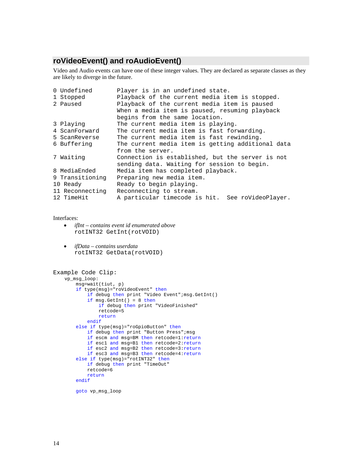## **roVideoEvent() and roAudioEvent()**

Video and Audio events can have one of these integer values. They are declared as separate classes as they are likely to diverge in the future.

| 0 Undefined                                                    | Player is in an undefined state.                  |  |  |  |  |
|----------------------------------------------------------------|---------------------------------------------------|--|--|--|--|
| 1 Stopped                                                      | Playback of the current media item is stopped.    |  |  |  |  |
| 2 Paused                                                       | Playback of the current media item is paused      |  |  |  |  |
|                                                                | When a media item is paused, resuming playback    |  |  |  |  |
|                                                                | begins from the same location.                    |  |  |  |  |
| 3 Playing                                                      | The current media item is playing.                |  |  |  |  |
| 4 ScanForward                                                  | The current media item is fast forwarding.        |  |  |  |  |
| 5 ScanReverse                                                  | The current media item is fast rewinding.         |  |  |  |  |
| 6 Buffering                                                    | The current media item is getting additional data |  |  |  |  |
|                                                                | from the server.                                  |  |  |  |  |
| 7 Waiting                                                      | Connection is established, but the server is not  |  |  |  |  |
|                                                                | sending data. Waiting for session to begin.       |  |  |  |  |
| 8 MediaEnded                                                   | Media item has completed playback.                |  |  |  |  |
| 9 Transitioning                                                | Preparing new media item.                         |  |  |  |  |
| Ready to begin playing.<br>10 Ready                            |                                                   |  |  |  |  |
| 11 Reconnecting<br>Reconnecting to stream.                     |                                                   |  |  |  |  |
| A particular timecode is hit. See roVideoPlayer.<br>12 TimeHit |                                                   |  |  |  |  |

Interfaces:

- *ifInt contains event id enumerated above*  rotINT32 GetInt(rotVOID)
- *ifData contains userdata*  rotINT32 GetData(rotVOID)

```
Example Code Clip: 
     vp_msg_loop: 
         msg=wait(tiut, p) 
         if type(msg)="roVideoEvent" then 
            if debug then print "Video Event"; msg.GetInt()
             if msg.GetInt() = 8 then 
                 if debug then print "VideoFinished" 
                 retcode=5 
                 return 
             endif 
         else if type(msg)="roGpioButton" then 
            if debug then print "Button Press"; msg
             if escm and msg=BM then retcode=1:return 
             if esc1 and msg=B1 then retcode=2:return 
             if esc2 and msg=B2 then retcode=3:return 
             if esc3 and msg=B3 then retcode=4:return 
         else if type(msg)="rotINT32" then 
             if debug then print "TimeOut" 
             retcode=6 
             return 
         endif
```
goto vp\_msg\_loop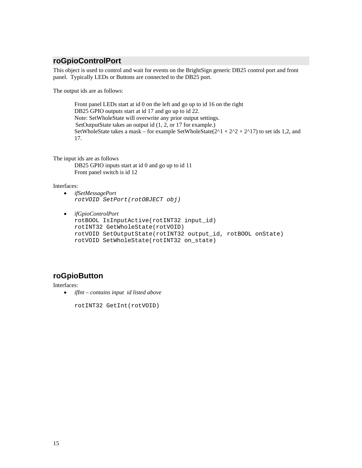## **roGpioControlPort**

This object is used to control and wait for events on the BrightSign generic DB25 control port and front panel. Typically LEDs or Buttons are connected to the DB25 port.

The output ids are as follows:

 Front panel LEDs start at id 0 on the left and go up to id 16 on the right DB25 GPIO outputs start at id 17 and go up to id 22. Note: SetWholeState will overwrite any prior output settings. SetOutputState takes an output id (1, 2, or 17 for example.) SetWholeState takes a mask – for example SetWholeState( $2^1 + 2^2 + 2^17$ ) to set ids 1,2, and 17.

The input ids are as follows DB25 GPIO inputs start at id 0 and go up to id 11 Front panel switch is id 12

Interfaces:

- *ifSetMessagePort rotVOID SetPort(rotOBJECT obj)*
- *ifGpioControlPort*  rotBOOL IsInputActive(rotINT32 input\_id) rotINT32 GetWholeState(rotVOID) rotVOID SetOutputState(rotINT32 output\_id, rotBOOL onState) rotVOID SetWholeState(rotINT32 on\_state)

## **roGpioButton**

Interfaces:

• *ifInt – contains input id listed above* 

rotINT32 GetInt(rotVOID)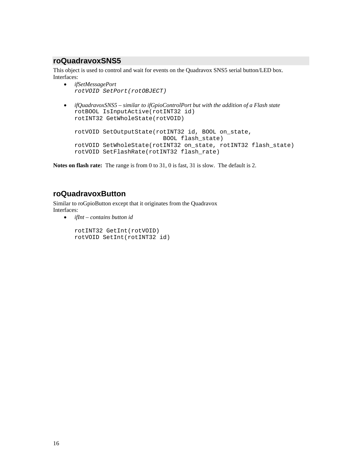### **roQuadravoxSNS5**

This object is used to control and wait for events on the Quadravox SNS5 serial button/LED box. Interfaces:

• *ifSetMessagePort rotVOID SetPort(rotOBJECT)*  • *ifQuadravoxSNS5 – similar to ifGpioControlPort but with the addition of a Flash state*  rotBOOL IsInputActive(rotINT32 id) rotINT32 GetWholeState(rotVOID) rotVOID SetOutputState(rotINT32 id, BOOL on\_state, BOOL flash\_state) rotVOID SetWholeState(rotINT32 on\_state, rotINT32 flash\_state) rotVOID SetFlashRate(rotINT32 flash\_rate)

**Notes on flash rate:** The range is from 0 to 31, 0 is fast, 31 is slow. The default is 2.

## **roQuadravoxButton**

Similar to roGpioButton except that it originates from the Quadravox Interfaces:

• *ifInt – contains button id* 

 rotINT32 GetInt(rotVOID) rotVOID SetInt(rotINT32 id)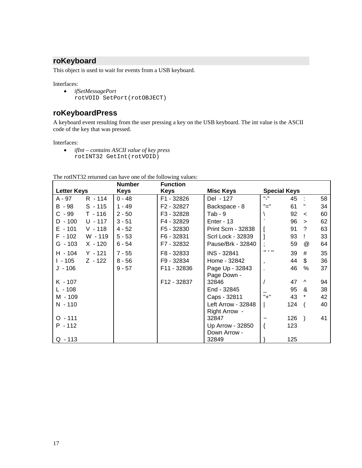## **roKeyboard**

This object is used to wait for events from a USB keyboard.

Interfaces:

• *ifSetMessagePort*  rotVOID SetPort(rotOBJECT)

## **roKeyboardPress**

A keyboard event resulting from the user pressing a key on the USB keyboard. The int value is the ASCII code of the key that was pressed.

Interfaces:

• *ifInt – contains ASCII value of key press*  rotINT32 GetInt(rotVOID)

The rotINT32 returned can have one of the following values:

|                    |           | <b>Number</b> | <b>Function</b> |                                |                              |     |               |    |
|--------------------|-----------|---------------|-----------------|--------------------------------|------------------------------|-----|---------------|----|
| <b>Letter Keys</b> |           | Keys          | Keys            | <b>Misc Keys</b>               | <b>Special Keys</b>          |     |               |    |
| A - 97             | $R - 114$ | $0 - 48$      | F1 - 32826      | Del - 127                      | $\mathbf{u}_\perp\mathbf{u}$ | 45  |               | 58 |
| $B - 98$           | $S - 115$ | $1 - 49$      | F2 - 32827      | Backspace - 8                  | "="                          | 61  | н             | 34 |
| $C - 99$           | $T - 116$ | $2 - 50$      | F3 - 32828      | $Tab - 9$                      |                              | 92  | $\,<\,$       | 60 |
| $D - 100$          | $U - 117$ | $3 - 51$      | F4 - 32829      | Enter - $13$                   |                              | 96  | $\geq$        | 62 |
| $E - 101$          | $V - 118$ | $4 - 52$      | F5 - 32830      | <b>Print Scrn - 32838</b>      |                              | 91  | ?             | 63 |
| $F - 102$          | W - 119   | $5 - 53$      | F6 - 32831      | <b>Scrl Lock - 32839</b>       |                              | 93  |               | 33 |
| G - 103            | $X - 120$ | 6 - 54        | F7 - 32832      | Pause/Brk - 32840              |                              | 59  | $^{\circ}$    | 64 |
| H - 104            | $Y - 121$ | $7 - 55$      | F8 - 32833      | INS - 32841                    | $11 - 1 - 11$                | 39  | #             | 35 |
| $1 - 105$          | $Z - 122$ | $8 - 56$      | F9 - 32834      | Home - 32842                   | $\mathbf{I}$                 | 44  | \$            | 36 |
| J - 106            |           | $9 - 57$      | F11 - 32836     | Page Up - 32843<br>Page Down - |                              | 46  | $\%$          | 37 |
| $K - 107$          |           |               | F12 - 32837     | 32846                          |                              | 47  | Λ             | 94 |
| L - 108            |           |               |                 | End - 32845                    |                              | 95  | &             | 38 |
| M - 109            |           |               |                 | Caps - 32811                   | $" +"$                       | 43  | *             | 42 |
| N - 110            |           |               |                 | <b>Left Arrow - 32848</b>      |                              | 124 |               | 40 |
|                    |           |               |                 | Right Arrow -                  |                              |     |               |    |
| $O - 111$          |           |               |                 | 32847                          |                              | 126 | $\rightarrow$ | 41 |
| $P - 112$          |           |               |                 | Up Arrow - 32850               |                              | 123 |               |    |
|                    |           |               |                 | Down Arrow -                   |                              |     |               |    |
| $Q - 113$          |           |               |                 | 32849                          |                              | 125 |               |    |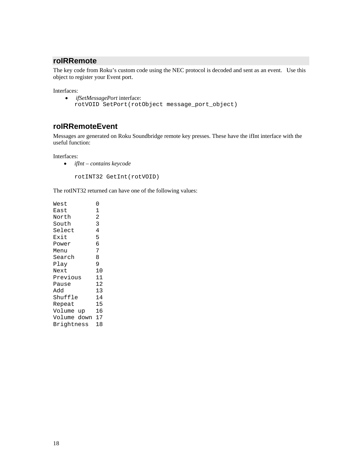## **roIRRemote**

The key code from Roku's custom code using the NEC protocol is decoded and sent as an event. Use this object to register your Event port.

Interfaces:

• *ifSetMessagePort* interface: rotVOID SetPort(rotObject message\_port\_object)

### **roIRRemoteEvent**

Messages are generated on Roku Soundbridge remote key presses. These have the ifInt interface with the useful function:

Interfaces:

• *ifInt – contains keycode* 

rotINT32 GetInt(rotVOID)

The rotINT32 returned can have one of the following values:

| West           | 0              |
|----------------|----------------|
| East           | 1              |
| North          | $\overline{2}$ |
| South          | 3              |
| Select         | 4              |
| Exit           | 5              |
| Power          | 6              |
| Menu           | 7              |
| Search         | 8              |
| Play           | 9              |
| Next           | 10             |
| Previous       | 11             |
| Pause          | 12             |
| Add            | 13             |
| Shuffle        | 14             |
| Repeat         | 15             |
| Volume up      | 16             |
| Volume down 17 |                |
| Brightness     | 18             |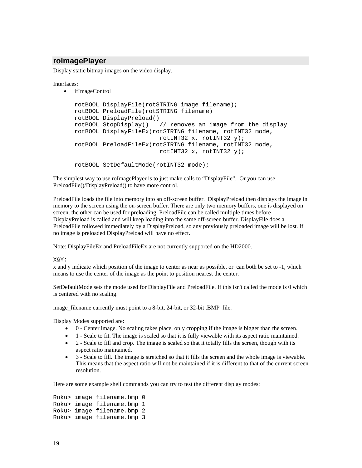### **roImagePlayer**

Display static bitmap images on the video display.

Interfaces:

• ifImageControl

```
rotBOOL DisplayFile(rotSTRING image_filename); 
rotBOOL PreloadFile(rotSTRING filename) 
rotBOOL DisplayPreload() 
rotBOOL StopDisplay() // removes an image from the display 
rotBOOL DisplayFileEx(rotSTRING filename, rotINT32 mode, 
                         rotINT32 x, rotINT32 y); 
rotBOOL PreloadFileEx(rotSTRING filename, rotINT32 mode, 
                        rotINT32 x, rotINT32 y);
```
rotBOOL SetDefaultMode(rotINT32 mode);

The simplest way to use roImagePlayer is to just make calls to "DisplayFile". Or you can use PreloadFile()/DisplayPreload() to have more control.

PreloadFile loads the file into memory into an off-screen buffer. DisplayPreload then displays the image in memory to the screen using the on-screen buffer. There are only two memory buffers, one is displayed on screen, the other can be used for preloading. PreloadFile can be called multiple times before DisplayPreload is called and will keep loading into the same off-screen buffer. DisplayFile does a PreloadFile followed immediately by a DisplayPreload, so any previously preloaded image will be lost. If no image is preloaded DisplayPreload will have no effect.

Note: DisplayFileEx and PreloadFileEx are not currently supported on the HD2000.

X&Y:

x and y indicate which position of the image to center as near as possible, or can both be set to -1, which means to use the center of the image as the point to position nearest the center.

SetDefaultMode sets the mode used for DisplayFile and PreloadFile. If this isn't called the mode is 0 which is centered with no scaling.

image\_filename currently must point to a 8-bit, 24-bit, or 32-bit .BMP file.

Display Modes supported are:

- 0 Center image. No scaling takes place, only cropping if the image is bigger than the screen.
- 1 Scale to fit. The image is scaled so that it is fully viewable with its aspect ratio maintained.
- 2 Scale to fill and crop. The image is scaled so that it totally fills the screen, though with its aspect ratio maintained.
- 3 Scale to fill. The image is stretched so that it fills the screen and the whole image is viewable. This means that the aspect ratio will not be maintained if it is different to that of the current screen resolution.

Here are some example shell commands you can try to test the different display modes:

Roku> image filename.bmp 0 Roku> image filename.bmp 1 Roku> image filename.bmp 2 Roku> image filename.bmp 3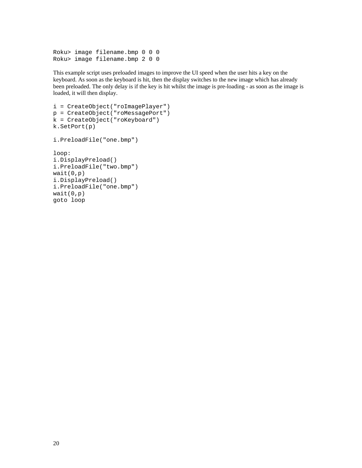```
Roku> image filename.bmp 0 0 0 
Roku> image filename.bmp 2 0 0
```
This example script uses preloaded images to improve the UI speed when the user hits a key on the keyboard. As soon as the keyboard is hit, then the display switches to the new image which has already been preloaded. The only delay is if the key is hit whilst the image is pre-loading - as soon as the image is loaded, it will then display.

```
i = CreateObject("roImagePlayer") 
p = CreateObject("roMessagePort") 
k = CreateObject("roKeyboard") 
k.SetPort(p) 
i.PreloadFile("one.bmp") 
loop: 
i.DisplayPreload() 
i.PreloadFile("two.bmp") 
wait(0,p)i.DisplayPreload() 
i.PreloadFile("one.bmp") 
wait(0,p)goto loop
```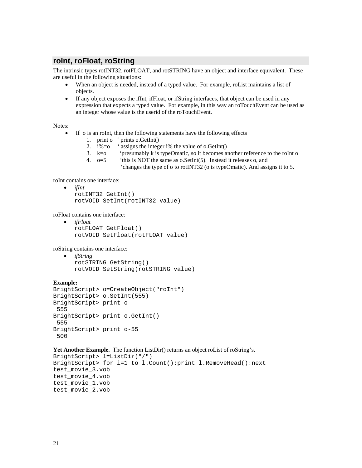### **roInt, roFloat, roString**

The intrinsic types rotINT32, rotFLOAT, and rotSTRING have an object and interface equivalent. These are useful in the following situations:

- When an object is needed, instead of a typed value. For example, roList maintains a list of objects.
- If any object exposes the ifInt, ifFloat, or ifString interfaces, that object can be used in any expression that expects a typed value. For example, in this way an roTouchEvent can be used as an integer whose value is the userid of the roTouchEvent.

Notes:

- If o is an roInt, then the following statements have the following effects
	- 1. print o ' prints o.GetInt()
	- 2.  $i\% = o$  ' assigns the integer i% the value of o.GetInt()
	- 3. k=o 'presumably k is typeOmatic, so it becomes another reference to the roInt o
	- 4.  $o=5$  'this is NOT the same as o. SetInt(5). Instead it releases o, and
		- 'changes the type of o to rotINT32 (o is typeOmatic). And assigns it to 5.

roInt contains one interface:

• *ifInt*  rotINT32 GetInt() rotVOID SetInt(rotINT32 value)

roFloat contains one interface:

• *ifFloat*  rotFLOAT GetFloat() rotVOID SetFloat(rotFLOAT value)

roString contains one interface:

```
• ifString 
    rotSTRING GetString() 
    rotVOID SetString(rotSTRING value)
```
#### **Example:**

```
BrightScript> o=CreateObject("roInt") 
BrightScript> o.SetInt(555) 
BrightScript> print o 
  555 
BrightScript> print o.GetInt() 
  555 
BrightScript> print o-55 
  500
```

```
Yet Another Example. The function ListDir() returns an object roList of roString's.
```

```
BrightScript> l=ListDir("/") 
BrightScript> for i=1 to l.Count():print l.RemoveHead():next 
test movie 3.vob
test_movie_4.vob 
test_movie_1.vob 
test_movie_2.vob
```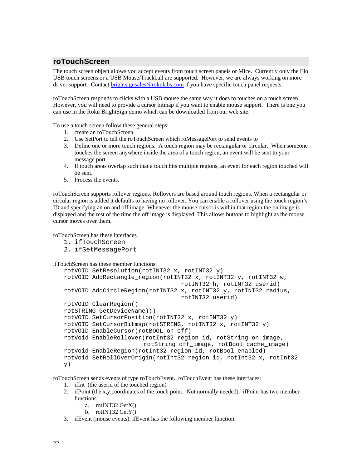### **roTouchScreen**

The touch screen object allows you accept events from touch screen panels or Mice. Currently only the Elo USB touch screens or a USB Mouse/Trackball are supported. However, we are always working on more driver support. Contact brightsignsales@rokulabs.com if you have specific touch panel requests.

roTouchScreen responds to clicks with a USB mouse the same way it does to touches on a touch screen. However, you will need to provide a cursor bitmap if you want to enable mouse support. There is one you can use in the Roku BrightSign demo which can be downloaded from our web site.

To use a touch screen follow these general steps:

- 1. create an roTouchScreen
- 2. Use SetPort to tell the roTouchScreen which roMessagePort to send events to
- 3. Define one or more touch regions. A touch region may be rectangular or circular. When someone touches the screen anywhere inside the area of a touch region, an event will be sent to your message port.
- 4. If touch areas overlap such that a touch hits multiple regions, an event for each region touched will be sent.
- 5. Process the events.

roTouchScreen supports rollover regions. Rollovers are based around touch regions. When a rectangular or circular region is added it defaults to having no rollover. You can enable a rollover using the touch region's ID and specifying an on and off image. Whenever the mouse cursor is within that region the on image is displayed and the rest of the time the off image is displayed. This allows buttons to highlight as the mouse cursor moves over them.

roTouchScreen has these interfaces

- 1. ifTouchScreen
- 2. ifSetMessagePort

ifTouchScreen has these member functions:

```
rotVOID SetResolution(rotINT32 x, rotINT32 y) 
rotVOID AddRectangle_region(rotINT32 x, rotINT32 y, rotINT32 w, 
                                   rotINT32 h, rotINT32 userid) 
rotVOID AddCircleRegion(rotINT32 x, rotINT32 y, rotINT32 radius, 
                                  rotINT32 userid) 
rotVOID ClearRegion() 
rotSTRING GetDeviceName)() 
rotVOID SetCursorPosition(rotINT32 x, rotINT32 y) 
rotVOID SetCursorBitmap(rotSTRING, rotINT32 x, rotINT32 y) 
rotVOID EnableCursor(rotBOOL on-off) 
rotVoid EnableRollover(rotInt32 region_id, rotString on_image, 
                       rotString off_image, rotBool cache_image) 
rotVoid EnableRegion(rotInt32 region_id, rotBool enabled) 
rotVoid SetRollOverOrigin(rotInt32 region_id, rotInt32 x, rotInt32 
y)
```
roTouchScreen sends events of type roTouchEvent. roTouchEvent has these interfaces:

- 1. ifInt (the userid of the touched region)
- 2. ifPoint (the x,y coordinates of the touch point. Not normally needed). ifPoint has two member functions:
	- a. rotINT32 GetX()
	- b. rotINT32 GetY()
- 3. ifEvent (mouse events). ifEvent has the following member function: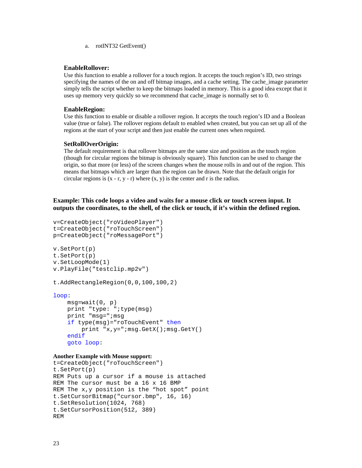a. rotINT32 GetEvent()

#### **EnableRollover:**

Use this function to enable a rollover for a touch region. It accepts the touch region's ID, two strings specifying the names of the on and off bitmap images, and a cache setting. The cache image parameter simply tells the script whether to keep the bitmaps loaded in memory. This is a good idea except that it uses up memory very quickly so we recommend that cache image is normally set to 0.

#### **EnableRegion:**

Use this function to enable or disable a rollover region. It accepts the touch region's ID and a Boolean value (true or false). The rollover regions default to enabled when created, but you can set up all of the regions at the start of your script and then just enable the current ones when required.

#### **SetRollOverOrigin:**

The default requirement is that rollover bitmaps are the same size and position as the touch region (though for circular regions the bitmap is obviously square). This function can be used to change the origin, so that more (or less) of the screen changes when the mouse rolls in and out of the region. This means that bitmaps which are larger than the region can be drawn. Note that the default origin for circular regions is  $(x - r, y - r)$  where  $(x, y)$  is the center and r is the radius.

### **Example: This code loops a video and waits for a mouse click or touch screen input. It outputs the coordinates, to the shell, of the click or touch, if it's within the defined region.**

```
v=CreateObject("roVideoPlayer") 
t=CreateObject("roTouchScreen") 
p=CreateObject("roMessagePort") 
v.SetPort(p) 
t.SetPort(p) 
v.SetLoopMode(1) 
v.PlayFile("testclip.mp2v") 
t.AddRectangleRegion(0,0,100,100,2) 
loop: 
     msg=wait(0, p) 
     print "type: ";type(msg) 
     print "msg=";msg 
     if type(msg)="roTouchEvent" then 
         print "x,y=";msg.GetX();msg.GetY() 
     endif 
     goto loop:
```
#### **Another Example with Mouse support:**

```
t=CreateObject("roTouchScreen") 
t.SetPort(p) 
REM Puts up a cursor if a mouse is attached 
REM The cursor must be a 16 x 16 BMP 
REM The x,y position is the "hot spot" point 
t.SetCursorBitmap("cursor.bmp", 16, 16) 
t.SetResolution(1024, 768) 
t.SetCursorPosition(512, 389) 
REM
```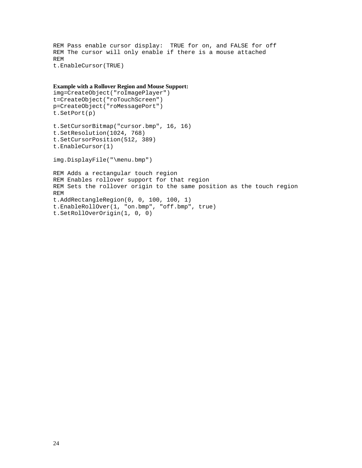```
REM Pass enable cursor display: TRUE for on, and FALSE for off 
REM The cursor will only enable if there is a mouse attached 
REM 
t.EnableCursor(TRUE)
```

```
Example with a Rollover Region and Mouse Support: 
img=CreateObject("roImagePlayer") 
t=CreateObject("roTouchScreen") 
p=CreateObject("roMessagePort") 
t.SetPort(p) 
t.SetCursorBitmap("cursor.bmp", 16, 16) 
t.SetResolution(1024, 768) 
t.SetCursorPosition(512, 389) 
t.EnableCursor(1) 
img.DisplayFile("\menu.bmp") 
REM Adds a rectangular touch region 
REM Enables rollover support for that region 
REM Sets the rollover origin to the same position as the touch region 
REM 
t.AddRectangleRegion(0, 0, 100, 100, 1) 
t.EnableRollOver(1, "on.bmp", "off.bmp", true) 
t.SetRollOverOrigin(1, 0, 0)
```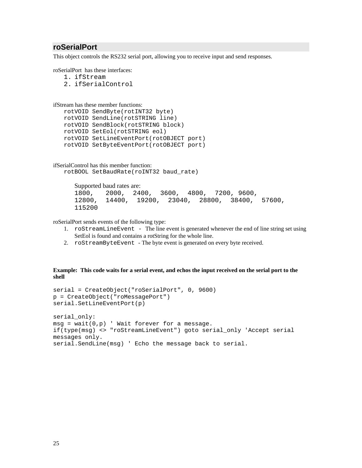### **roSerialPort**

This object controls the RS232 serial port, allowing you to receive input and send responses.

roSerialPort has these interfaces:

- 1. ifStream 2. ifSerialControl
- 

```
ifStream has these member functions:
```

```
rotVOID SendByte(rotINT32 byte) 
rotVOID SendLine(rotSTRING line) 
rotVOID SendBlock(rotSTRING block) 
rotVOID SetEol(rotSTRING eol) 
rotVOID SetLineEventPort(rotOBJECT port) 
rotVOID SetByteEventPort(rotOBJECT port)
```

```
ifSerialControl has this member function: 
   rotBOOL SetBaudRate(roINT32 baud_rate)
```
Supported baud rates are: 1800, 2000, 2400, 3600, 4800, 7200, 9600, 12800, 14400, 19200, 23040, 28800, 38400, 57600, 115200

roSerialPort sends events of the following type:

- 1. roStreamLineEvent The line event is generated whenever the end of line string set using SetEol is found and contains a rotString for the whole line.
- 2. roStreamByteEvent The byte event is generated on every byte received.

#### **Example: This code waits for a serial event, and echos the input received on the serial port to the shell**

```
serial = CreateObject("roSerialPort", 0, 9600) 
p = CreateObject("roMessagePort") 
serial.SetLineEventPort(p) 
serial only:
msg = wait(0, p) ' Wait forever for a message.
if(type(msg) <> "roStreamLineEvent") goto serial_only 'Accept serial 
messages only. 
serial.SendLine(msg) ' Echo the message back to serial.
```